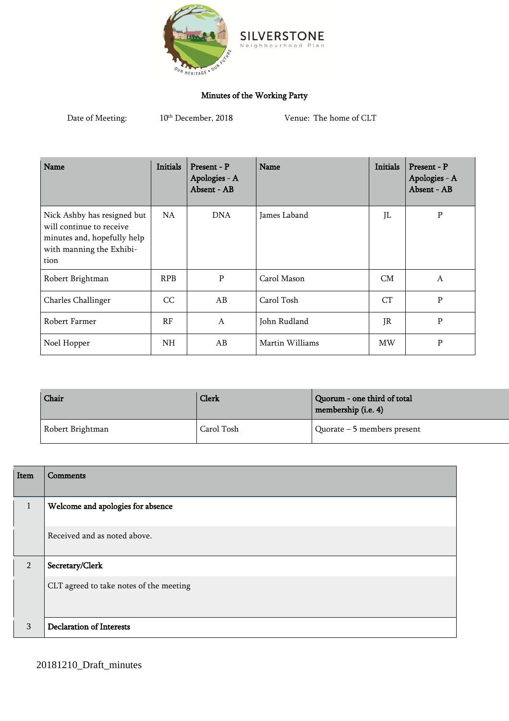

## Minutes of the Working Party

Date of Meeting:  $10^{\rm th}$  December, 2018

Venue: The home of CLT

 $P$ a n

o d

| Name                                                                                                                       | <b>Initials</b> | Present - P<br>Apologies - A<br>Absent - AB | Name            | <b>Initials</b> | Present - P<br>Apologies - A<br>Absent - AB |
|----------------------------------------------------------------------------------------------------------------------------|-----------------|---------------------------------------------|-----------------|-----------------|---------------------------------------------|
| Nick Ashby has resigned but<br>will continue to receive<br>minutes and, hopefully help<br>with manning the Exhibi-<br>tion | NA.             | <b>DNA</b>                                  | James Laband    | JL              | $\mathbf P$                                 |
| Robert Brightman                                                                                                           | <b>RPB</b>      | P                                           | Carol Mason     | CM              | A                                           |
| Charles Challinger                                                                                                         | CC              | AB                                          | Carol Tosh      | CT              | $\, {\bf P}$                                |
| Robert Farmer                                                                                                              | RF              | $\mathsf{A}$                                | John Rudland    | JR              | $\, {\bf P}$                                |
| Noel Hopper                                                                                                                | <b>NH</b>       | AB                                          | Martin Williams | MW              | $\mathbf P$                                 |

| Chair            | Clerk      | Quorum - one third of total<br>membership (i.e. 4) |
|------------------|------------|----------------------------------------------------|
| Robert Brightman | Carol Tosh | Quorate $-5$ members present                       |

| Item           | Comments                                |
|----------------|-----------------------------------------|
| $\mathbf{1}$   | Welcome and apologies for absence       |
|                | Received and as noted above.            |
| $\overline{2}$ | Secretary/Clerk                         |
|                | CLT agreed to take notes of the meeting |
| 3              | <b>Declaration of Interests</b>         |

20181210\_Draft\_minutes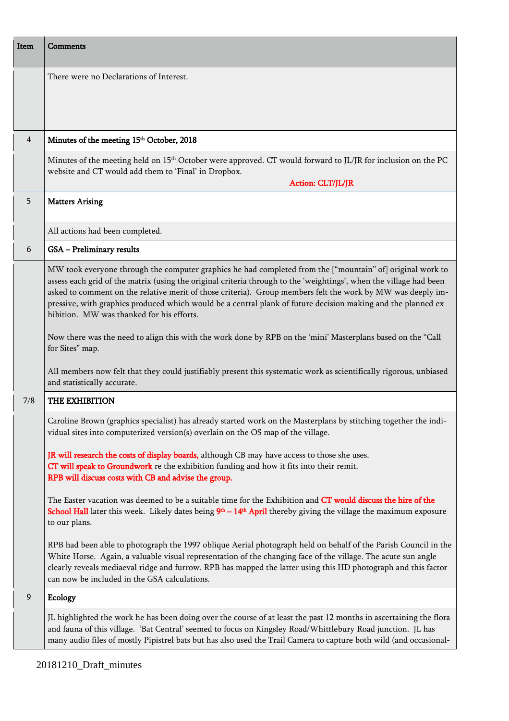| Item           | Comments                                                                                                                                                                                                                                                                                                                                                                                                                                                                                                     |
|----------------|--------------------------------------------------------------------------------------------------------------------------------------------------------------------------------------------------------------------------------------------------------------------------------------------------------------------------------------------------------------------------------------------------------------------------------------------------------------------------------------------------------------|
|                | There were no Declarations of Interest.                                                                                                                                                                                                                                                                                                                                                                                                                                                                      |
| $\overline{4}$ | Minutes of the meeting 15 <sup>th</sup> October, 2018                                                                                                                                                                                                                                                                                                                                                                                                                                                        |
|                | Minutes of the meeting held on 15 <sup>th</sup> October were approved. CT would forward to JL/JR for inclusion on the PC<br>website and CT would add them to 'Final' in Dropbox.<br>Action: CLT/JL/JR                                                                                                                                                                                                                                                                                                        |
| 5              | <b>Matters Arising</b>                                                                                                                                                                                                                                                                                                                                                                                                                                                                                       |
|                | All actions had been completed.                                                                                                                                                                                                                                                                                                                                                                                                                                                                              |
| 6              | GSA - Preliminary results                                                                                                                                                                                                                                                                                                                                                                                                                                                                                    |
|                | MW took everyone through the computer graphics he had completed from the ["mountain" of] original work to<br>assess each grid of the matrix (using the original criteria through to the 'weightings', when the village had been<br>asked to comment on the relative merit of those criteria). Group members felt the work by MW was deeply im-<br>pressive, with graphics produced which would be a central plank of future decision making and the planned ex-<br>hibition. MW was thanked for his efforts. |
|                | Now there was the need to align this with the work done by RPB on the 'mini' Masterplans based on the "Call<br>for Sites" map.                                                                                                                                                                                                                                                                                                                                                                               |
|                | All members now felt that they could justifiably present this systematic work as scientifically rigorous, unbiased<br>and statistically accurate.                                                                                                                                                                                                                                                                                                                                                            |
| 7/8            | THE EXHIBITION                                                                                                                                                                                                                                                                                                                                                                                                                                                                                               |
|                | Caroline Brown (graphics specialist) has already started work on the Masterplans by stitching together the indi-<br>vidual sites into computerized version(s) overlain on the OS map of the village.                                                                                                                                                                                                                                                                                                         |
|                | JR will research the costs of display boards, although CB may have access to those she uses.<br>CT will speak to Groundwork re the exhibition funding and how it fits into their remit.<br>RPB will discuss costs with CB and advise the group.                                                                                                                                                                                                                                                              |
|                | The Easter vacation was deemed to be a suitable time for the Exhibition and CT would discuss the hire of the<br><b>School Hall</b> later this week. Likely dates being $9th - 14th$ April thereby giving the village the maximum exposure<br>to our plans.                                                                                                                                                                                                                                                   |
|                | RPB had been able to photograph the 1997 oblique Aerial photograph held on behalf of the Parish Council in the<br>White Horse. Again, a valuable visual representation of the changing face of the village. The acute sun angle<br>clearly reveals mediaeval ridge and furrow. RPB has mapped the latter using this HD photograph and this factor<br>can now be included in the GSA calculations.                                                                                                            |
| 9              | <b>Ecology</b>                                                                                                                                                                                                                                                                                                                                                                                                                                                                                               |
|                | JL highlighted the work he has been doing over the course of at least the past 12 months in ascertaining the flora<br>and fauna of this village. 'Bat Central' seemed to focus on Kingsley Road/Whittlebury Road junction. JL has<br>many audio files of mostly Pipistrel bats but has also used the Trail Camera to capture both wild (and occasional-                                                                                                                                                      |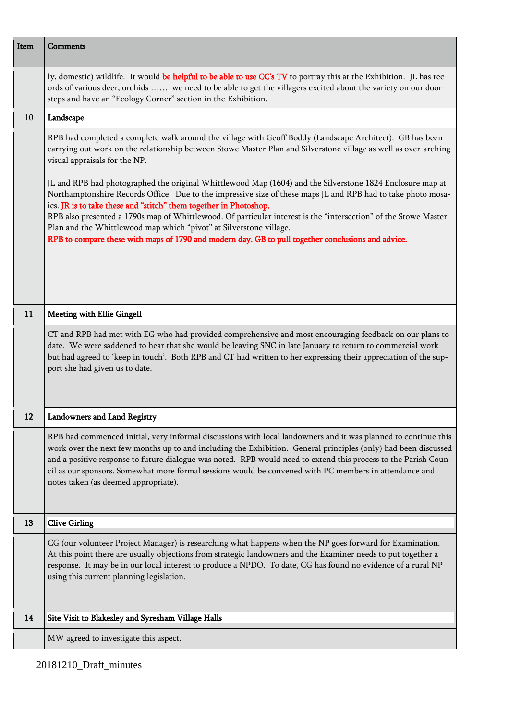| Item | <b>Comments</b>                                                                                                                                                                                                                                                                                                                                                                                                                                                                                       |
|------|-------------------------------------------------------------------------------------------------------------------------------------------------------------------------------------------------------------------------------------------------------------------------------------------------------------------------------------------------------------------------------------------------------------------------------------------------------------------------------------------------------|
|      | ly, domestic) wildlife. It would be helpful to be able to use CC's TV to portray this at the Exhibition. JL has rec-<br>ords of various deer, orchids  we need to be able to get the villagers excited about the variety on our door-<br>steps and have an "Ecology Corner" section in the Exhibition.                                                                                                                                                                                                |
| 10   | Landscape                                                                                                                                                                                                                                                                                                                                                                                                                                                                                             |
|      | RPB had completed a complete walk around the village with Geoff Boddy (Landscape Architect). GB has been<br>carrying out work on the relationship between Stowe Master Plan and Silverstone village as well as over-arching<br>visual appraisals for the NP.                                                                                                                                                                                                                                          |
|      | JL and RPB had photographed the original Whittlewood Map (1604) and the Silverstone 1824 Enclosure map at<br>Northamptonshire Records Office. Due to the impressive size of these maps JL and RPB had to take photo mosa-<br>ics. JR is to take these and "stitch" them together in Photoshop.<br>RPB also presented a 1790s map of Whittlewood. Of particular interest is the "intersection" of the Stowe Master<br>Plan and the Whittlewood map which "pivot" at Silverstone village.               |
|      | RPB to compare these with maps of 1790 and modern day. GB to pull together conclusions and advice.                                                                                                                                                                                                                                                                                                                                                                                                    |
| 11   | <b>Meeting with Ellie Gingell</b>                                                                                                                                                                                                                                                                                                                                                                                                                                                                     |
|      | CT and RPB had met with EG who had provided comprehensive and most encouraging feedback on our plans to<br>date. We were saddened to hear that she would be leaving SNC in late January to return to commercial work<br>but had agreed to 'keep in touch'. Both RPB and CT had written to her expressing their appreciation of the sup-<br>port she had given us to date.                                                                                                                             |
| 12   | Landowners and Land Registry                                                                                                                                                                                                                                                                                                                                                                                                                                                                          |
|      | RPB had commenced initial, very informal discussions with local landowners and it was planned to continue this<br>work over the next few months up to and including the Exhibition. General principles (only) had been discussed<br>and a positive response to future dialogue was noted. RPB would need to extend this process to the Parish Coun-<br>cil as our sponsors. Somewhat more formal sessions would be convened with PC members in attendance and<br>notes taken (as deemed appropriate). |
| 13   | <b>Clive Girling</b>                                                                                                                                                                                                                                                                                                                                                                                                                                                                                  |
|      | CG (our volunteer Project Manager) is researching what happens when the NP goes forward for Examination.<br>At this point there are usually objections from strategic landowners and the Examiner needs to put together a<br>response. It may be in our local interest to produce a NPDO. To date, CG has found no evidence of a rural NP<br>using this current planning legislation.                                                                                                                 |
| 14   | Site Visit to Blakesley and Syresham Village Halls                                                                                                                                                                                                                                                                                                                                                                                                                                                    |
|      | MW agreed to investigate this aspect.                                                                                                                                                                                                                                                                                                                                                                                                                                                                 |